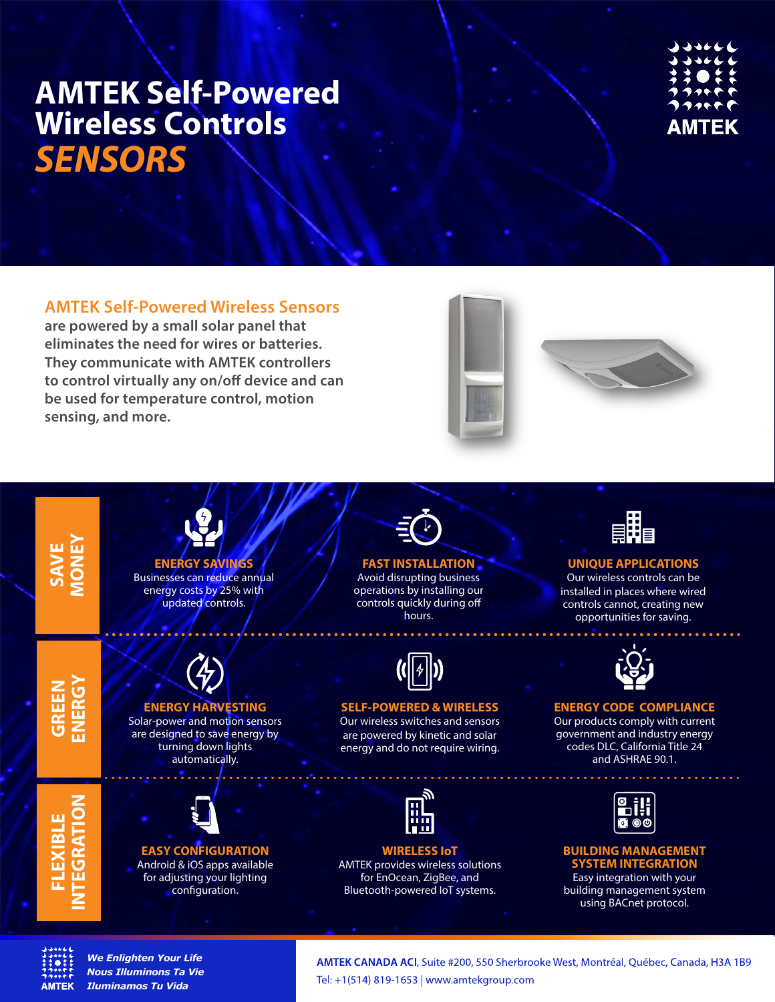

# **AMTEK Self-Powered Wireless Sensors**

**are powered by a small solar panel that eliminates the need for wires or batteries. They communicate with AMTEK controllers**  to control virtually any on/off device and can **be used for temperature control, motion sensing, and more.**







*We Enlighten Your Life Nous Illuminons Ta Vie Iluminamos Tu Vida*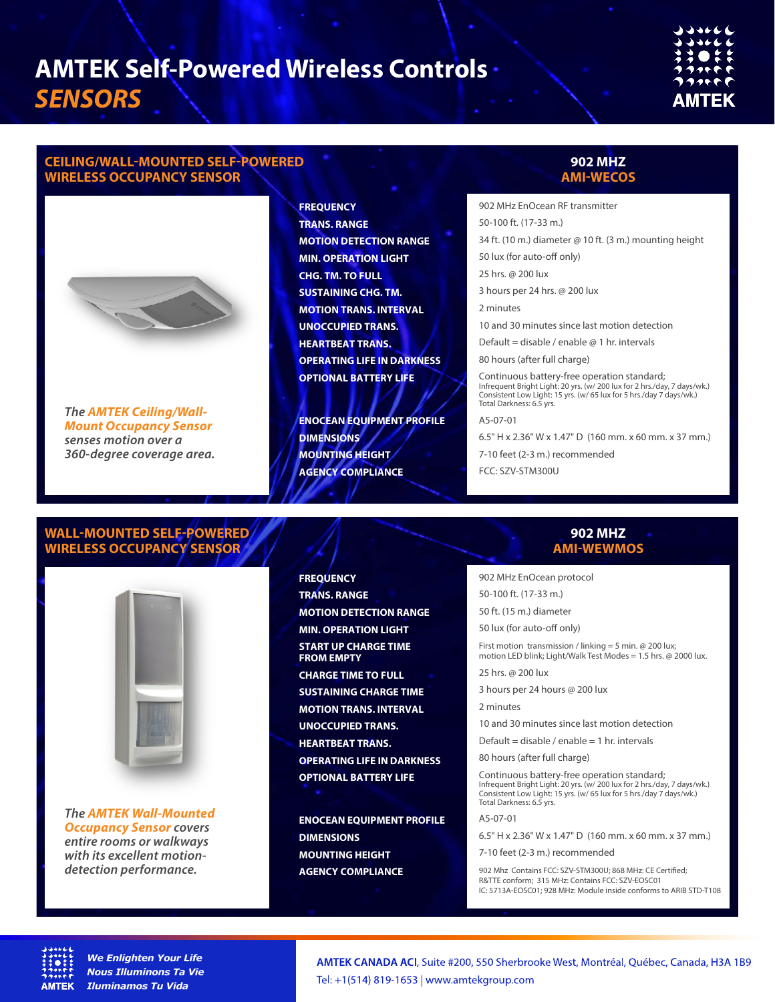# **CEILING/WALL-MOUNTED SELF-POWERED WIRELESS OCCUPANCY SENSOR**



*The AMTEK Ceiling/Wall-Mount Occupancy Sensor senses motion over a 360-degree coverage area.* **FREQUENCY TRANS. RANGE MOTION DETECTION RANGE MIN. OPERATION LIGHT CHG. TM. TO FULL SUSTAINING CHG. TM. MOTION TRANS. INTERVAL UNOCCUPIED TRANS. HEARTBEAT TRANS. OPERATING LIFE IN DARKNESS OPTIONAL BATTERY LIFE**

**ENOCEAN EQUIPMENT PROFILE DIMENSIONS MOUNTING HEIGHT AGENCY COMPLIANCE**

# **902 MHZ AMI-WECOS**

902 MHz EnOcean RF transmitter 50-100 ft. (17-33 m.) 34 ft. (10 m.) diameter @ 10 ft. (3 m.) mounting height 50 lux (for auto-off only) 25 hrs. @ 200 lux 3 hours per 24 hrs. @ 200 lux 2 minutes 10 and 30 minutes since last motion detection Default = disable / enable  $\varpi$  1 hr. intervals 80 hours (after full charge) Continuous battery-free operation standard;

Infrequent Bright Light: 20 yrs. (w/ 200 lux for 2 hrs./day, 7 days/wk.) Consistent Low Light: 15 yrs. (w/ 65 lux for 5 hrs./day 7 days/wk.) Total Darkness: 6.5 yrs.

A5-07-01

6.5" H x 2.36" W x 1.47" D (160 mm. x 60 mm. x 37 mm.)

7-10 feet (2-3 m.) recommended

FCC: SZV-STM300U

## **WALL-MOUNTED SELF-POWERED WIRELESS OCCUPANCY SENSOR**



*The AMTEK Wall-Mounted Occupancy Sensor covers entire rooms or walkways with its excellent motiondetection performance.*

# **FREQUENCY TRANS. RANGE MOTION DETECTION RANGE MIN. OPERATION LIGHT START UP CHARGE TIME FROM EMPTY CHARGE TIME TO FULL SUSTAINING CHARGE TIME MOTION TRANS. INTERVAL UNOCCUPIED TRANS. HEARTBEAT TRANS. OPERATING LIFE IN DARKNESS OPTIONAL BATTERY LIFE**

**ENOCEAN EQUIPMENT PROFILE DIMENSIONS MOUNTING HEIGHT AGENCY COMPLIANCE**

### **902 MHZ AMI-WEWMOS**

902 MHz EnOcean protocol

50-100 ft. (17-33 m.)

50 ft. (15 m.) diameter

50 lux (for auto-off only)

First motion transmission / linking = 5 min. @ 200 lux; motion LED blink; Light/Walk Test Modes = 1.5 hrs. @ 2000 lux.

25 hrs. @ 200 lux

3 hours per 24 hours @ 200 lux

2 minutes

10 and 30 minutes since last motion detection

Default = disable / enable =  $1$  hr. intervals

80 hours (after full charge)

Continuous battery-free operation standard; Infrequent Bright Light: 20 yrs. (w/ 200 lux for 2 hrs./day, 7 days/wk.) Consistent Low Light: 15 yrs. (w/ 65 lux for 5 hrs./day 7 days/wk.) Total Darkness: 6.5 yrs.

A5-07-01

6.5" H x 2.36" W x 1.47" D (160 mm. x 60 mm. x 37 mm.)

7-10 feet (2-3 m.) recommended

902 Mhz Contains FCC: SZV-STM300U; 868 MHz: CE Certified; R&TTE conform; 315 MHz: Contains FCC: SZV-EOSC01 IC: 5713A-EOSC01; 928 MHz: Module inside conforms to ARIB STD-T108



*We Enlighten Your Life Nous Illuminons Ta Vie Iluminamos Tu Vida*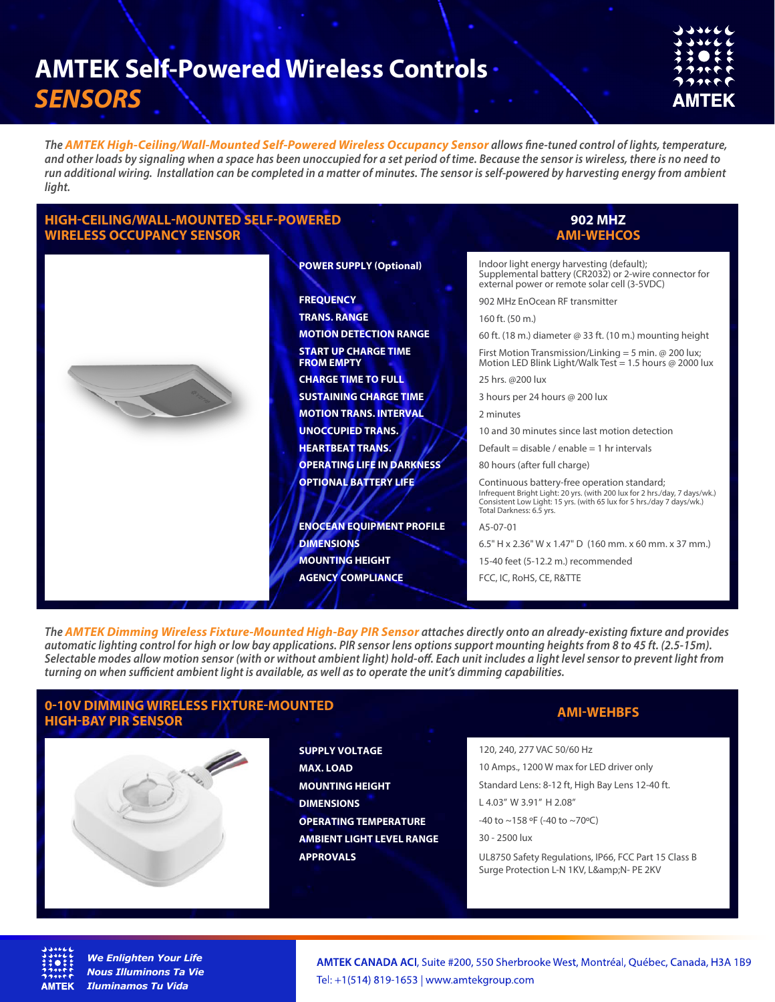| つつうそく                            |
|----------------------------------|
| $\rightarrow$ and a $\leftarrow$ |
| ネネ●キキ                            |
| フクリャヤヤ                           |
| フクハイピ                            |
|                                  |
| AMTEK                            |
|                                  |

*The AMTEK High-Ceiling/Wall-Mounted Self-Powered Wireless Occupancy Sensor allows ne-tuned control of lights, temperature, and other loads by signaling when a space has been unoccupied for a set period of time. Because the sensor is wireless, there is no need to run additional wiring. Installation can be completed in a matter of minutes. The sensor is self-powered by harvesting energy from ambient light.*

### **HIGH-CEILING/WALL-MOUNTED SELF-POWERED WIRELESS OCCUPANCY SENSOR**



#### **POWER SUPPLY (Optional)**

**FREQUENCY TRANS. RANGE MOTION DETECTION RANGE START UP CHARGE TIME FROM EMPTY CHARGE TIME TO FULL SUSTAINING CHARGE TIME MOTION TRANS. INTERVAL UNOCCUPIED TRANS. HEARTBEAT TRANS. OPERATING LIFE IN DARKNESS OPTIONAL BATTERY LIFE**

**ENOCEAN EQUIPMENT PROFILE DIMENSIONS MOUNTING HEIGHT AGENCY COMPLIANCE**

#### **902 MHZ AMI-WEHCOS**

Indoor light energy harvesting (default); Supplemental battery (CR2032) or 2-wire connector for external power or remote solar cell (3-5VDC)

902 MHz EnOcean RF transmitter

160 ft. (50 m.)

60 ft. (18 m.) diameter @ 33 ft. (10 m.) mounting height

First Motion Transmission/Linking = 5 min. @ 200 lux; Motion LED Blink Light/Walk Test = 1.5 hours  $@$  2000 lux

25 hrs. @200 lux

3 hours per 24 hours @ 200 lux

2 minutes

10 and 30 minutes since last motion detection

Default = disable / enable = 1 hr intervals

80 hours (after full charge)

Continuous battery-free operation standard; Infrequent Bright Light: 20 yrs. (with 200 lux for 2 hrs./day, 7 days/wk.) Consistent Low Light: 15 yrs. (with 65 lux for 5 hrs./day 7 days/wk.) Total Darkness: 6.5 yrs.

A5-07-01

6.5" H x 2.36" W x 1.47" D (160 mm. x 60 mm. x 37 mm.)

15-40 feet (5-12.2 m.) recommended

FCC, IC, RoHS, CE, R&TTE

The **AMTEK Dimming Wireless Fixture-Mounted High-Bay PIR Sensor** attaches directly onto an already-existing fixture and provides *automatic lighting control for high or low bay applications. PIR sensor lens options support mounting heights from 8 to 45 ft. (2.5-15m).*  Selectable modes allow motion sensor (with or without ambient light) hold-off. Each unit includes a light level sensor to prevent light from *turning on when sufficient ambient light is available, as well as to operate the unit's dimming capabilities.* 

# **0-10V DIMMING WIRELESS FIXTURE-MOUNTED HIGH-BAY PIR SENSOR AMI-WEHBFS**



**SUPPLY VOLTAGE MAX. LOAD MOUNTING HEIGHT DIMENSIONS OPERATING TEMPERATURE AMBIENT LIGHT LEVEL RANGE APPROVALS**

120, 240, 277 VAC 50/60 Hz

10 Amps., 1200 W max for LED driver only

Standard Lens: 8-12 ft, High Bay Lens 12-40 ft.

L 4.03'' W 3.91'' H 2.08''

-40 to ~158 ºF (-40 to ~70ºC)

30 - 2500 lux

UL8750 Safety Regulations, IP66, FCC Part 15 Class B Surge Protection L-N 1KV, L&N- PE 2KV



*We Enlighten Your Life Nous Illuminons Ta Vie Iluminamos Tu Vida*